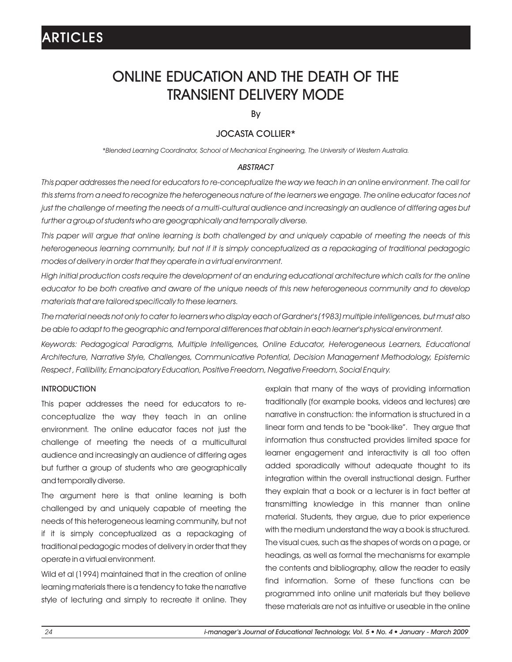# ONLINE EDUCATION AND THE DEATH OF THE TRANSIENT DELIVERY MODE

By

#### JOCASTA COLLIER\*

*\*Blended Learning Coordinator, School of Mechanical Engineering, The University of Western Australia.*

#### *ABSTRACT*

*This paper addresses the need for educators to re-conceptualize the way we teach in an online environment. The call for this stems from a need to recognize the heterogeneous nature of the learners we engage. The online educator faces not just the challenge of meeting the needs of a multi-cultural audience and increasingly an audience of differing ages but further a group of students who are geographically and temporally diverse.*

*This paper will argue that online learning is both challenged by and uniquely capable of meeting the needs of this heterogeneous learning community, but not if it is simply conceptualized as a repackaging of traditional pedagogic modes of delivery in order that they operate in a virtual environment.*

*High initial production costs require the development of an enduring educational architecture which calls for the online educator to be both creative and aware of the unique needs of this new heterogeneous community and to develop materials that are tailored specifically to these learners.*

*The material needs not only to cater to learners who display each of Gardner's (1983) multiple intelligences, but must also be able to adapt to the geographic and temporal differences that obtain in each learner's physical environment.*

*Keywords: Pedagogical Paradigms, Multiple Intelligences, Online Educator, Heterogeneous Learners, Educational Architecture, Narrative Style, Challenges, Communicative Potential, Decision Management Methodology, Epistemic Respect , Fallibility, Emancipatory Education, Positive Freedom, Negative Freedom, Social Enquiry.*

#### **INTRODUCTION**

This paper addresses the need for educators to reconceptualize the way they teach in an online environment. The online educator faces not just the challenge of meeting the needs of a multicultural audience and increasingly an audience of differing ages but further a group of students who are geographically and temporally diverse.

The argument here is that online learning is both challenged by and uniquely capable of meeting the needs of this heterogeneous learning community, but not if it is simply conceptualized as a repackaging of traditional pedagogic modes of delivery in order that they operate in a virtual environment.

Wild et al (1994) maintained that in the creation of online learning materials there is a tendency to take the narrative style of lecturing and simply to recreate it online. They explain that many of the ways of providing information traditionally (for example books, videos and lectures) are narrative in construction: the information is structured in a linear form and tends to be "book-like". They argue that information thus constructed provides limited space for learner engagement and interactivity is all too often added sporadically without adequate thought to its integration within the overall instructional design. Further they explain that a book or a lecturer is in fact better at transmitting knowledge in this manner than online material. Students, they argue, due to prior experience with the medium understand the way a book is structured. The visual cues, such as the shapes of words on a page, or headings, as well as formal the mechanisms for example the contents and bibliography, allow the reader to easily find information. Some of these functions can be programmed into online unit materials but they believe these materials are not as intuitive or useable in the online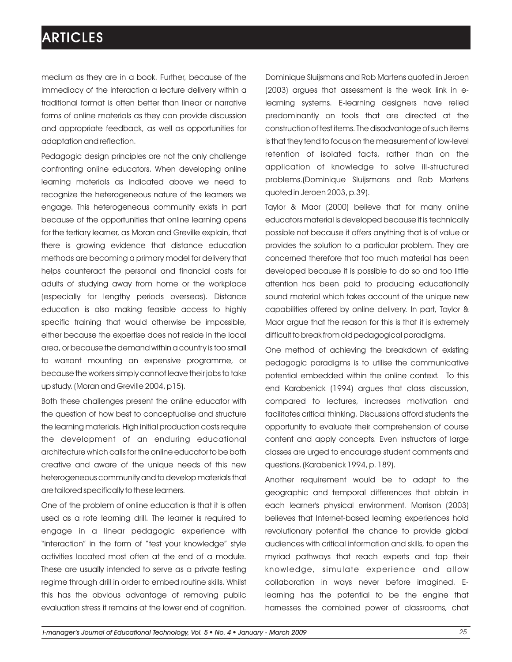medium as they are in a book. Further, because of the immediacy of the interaction a lecture delivery within a traditional format is often better than linear or narrative forms of online materials as they can provide discussion and appropriate feedback, as well as opportunities for adaptation and reflection.

Pedagogic design principles are not the only challenge confronting online educators. When developing online learning materials as indicated above we need to recognize the heterogeneous nature of the learners we engage. This heterogeneous community exists in part because of the opportunities that online learning opens for the tertiary learner, as Moran and Greville explain, that there is growing evidence that distance education methods are becoming a primary model for delivery that helps counteract the personal and financial costs for adults of studying away from home or the workplace (especially for lengthy periods overseas). Distance education is also making feasible access to highly specific training that would otherwise be impossible, either because the expertise does not reside in the local area, or because the demand within a country is too small to warrant mounting an expensive programme, or because the workers simply cannot leave their jobs to take up study. (Moran and Greville 2004, p15).

Both these challenges present the online educator with the question of how best to conceptualise and structure the learning materials. High initial production costs require the development of an enduring educational architecture which calls for the online educator to be both creative and aware of the unique needs of this new heterogeneous community and to develop materials that are tailored specifically to these learners.

One of the problem of online education is that it is often used as a rote learning drill. The learner is required to engage in a linear pedagogic experience with "interaction" in the form of "test your knowledge" style activities located most often at the end of a module. These are usually intended to serve as a private testing regime through drill in order to embed routine skills. Whilst this has the obvious advantage of removing public evaluation stress it remains at the lower end of cognition.

Dominique Sluijsmans and Rob Martens quoted in Jeroen (2003) argues that assessment is the weak link in elearning systems. E-learning designers have relied predominantly on tools that are directed at the construction of test items. The disadvantage of such items is that they tend to focus on the measurement of low-level retention of isolated facts, rather than on the application of knowledge to solve ill-structured problems.(Dominique Sluijsmans and Rob Martens quoted in Jeroen 2003, p.39).

Taylor & Maor (2000) believe that for many online educators material is developed because it is technically possible not because it offers anything that is of value or provides the solution to a particular problem. They are concerned therefore that too much material has been developed because it is possible to do so and too little attention has been paid to producing educationally sound material which takes account of the unique new capabilities offered by online delivery. In part, Taylor & Maor argue that the reason for this is that it is extremely difficult to break from old pedagogical paradigms.

One method of achieving the breakdown of existing pedagogic paradigms is to utilise the communicative potential embedded within the online context. To this end Karabenick (1994) argues that class discussion, compared to lectures, increases motivation and facilitates critical thinking. Discussions afford students the opportunity to evaluate their comprehension of course content and apply concepts. Even instructors of large classes are urged to encourage student comments and questions. (Karabenick 1994, p. 189).

Another requirement would be to adapt to the geographic and temporal differences that obtain in each learner's physical environment. Morrison (2003) believes that Internet-based learning experiences hold revolutionary potential the chance to provide global audiences with critical information and skills, to open the myriad pathways that reach experts and tap their knowledge, simulate experience and allow collaboration in ways never before imagined. Elearning has the potential to be the engine that harnesses the combined power of classrooms, chat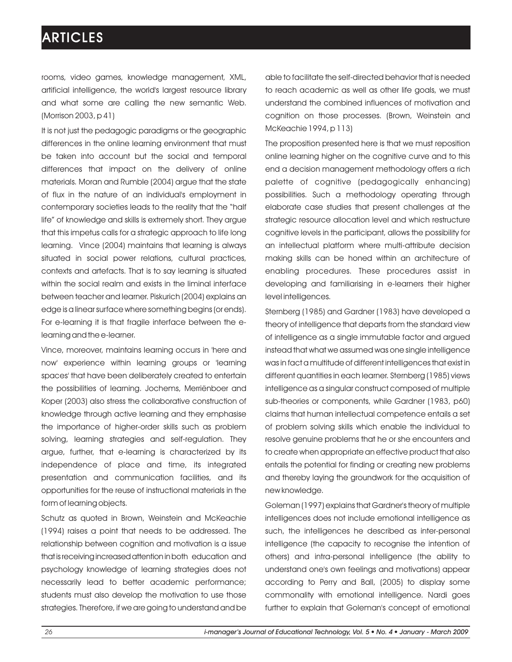rooms, video games, knowledge management, XML, artificial intelligence, the world's largest resource library and what some are calling the new semantic Web. (Morrison 2003, p 41)

It is not just the pedagogic paradigms or the geographic differences in the online learning environment that must be taken into account but the social and temporal differences that impact on the delivery of online materials. Moran and Rumble (2004) argue that the state of flux in the nature of an individual's employment in contemporary societies leads to the reality that the "half life" of knowledge and skills is extremely short. They argue that this impetus calls for a strategic approach to life long learning. Vince (2004) maintains that learning is always situated in social power relations, cultural practices, contexts and artefacts. That is to say learning is situated within the social realm and exists in the liminal interface between teacher and learner. Piskurich (2004) explains an edge is a linear surface where something begins (or ends). For e-learning it is that fragile interface between the elearning and the e-learner.

Vince, moreover, maintains learning occurs in 'here and now' experience within learning groups or 'learning spaces' that have been deliberately created to entertain the possibilities of learning. Jochems, Merriënboer and Koper (2003) also stress the collaborative construction of knowledge through active learning and they emphasise the importance of higher-order skills such as problem solving, learning strategies and self-regulation. They argue, further, that e-learning is characterized by its independence of place and time, its integrated presentation and communication facilities, and its opportunities for the reuse of instructional materials in the form of learning objects.

Schutz as quoted in Brown, Weinstein and McKeachie (1994) raises a point that needs to be addressed. The relationship between cognition and motivation is a issue that isreceivingincreasedattention inboth education and psychology knowledge of learning strategies does not necessarily lead to better academic performance; students must also develop the motivation to use those strategies. Therefore, if we are going to understand and be

able to facilitate the self-directed behavior that is needed to reach academic as well as other life goals, we must understand the combined influences of motivation and cognition on those processes. (Brown, Weinstein and McKeachie 1994, p 113)

The proposition presented here is that we must reposition online learning higher on the cognitive curve and to this end a decision management methodology offers a rich palette of cognitive (pedagogically enhancing) possibilities. Such a methodology operating through elaborate case studies that present challenges at the strategic resource allocation level and which restructure cognitive levels in the participant, allows the possibility for an intellectual platform where multi-attribute decision making skills can be honed within an architecture of enabling procedures. These procedures assist in developing and familiarising in e-learners their higher level intelligences.

Sternberg (1985) and Gardner (1983) have developed a theory of intelligence that departs from the standard view of intelligence as a single immutable factor and argued instead that what we assumed was one single intelligence was in fact a multitude of different intelligences that exist in different quantities in each learner. Sternberg (1985) views intelligence as a singular construct composed of multiple sub-theories or components, while Gardner (1983, p60) claims that human intellectual competence entails a set of problem solving skills which enable the individual to resolve genuine problems that he or she encounters and to create when appropriate an effective product that also entails the potential for finding or creating new problems and thereby laying the groundwork for the acquisition of new knowledge.

Goleman (1997) explains that Gardner's theory of multiple intelligences does not include emotional intelligence as such, the intelligences he described as inter-personal intelligence (the capacity to recognise the intention of others) and intra-personal intelligence (the ability to understand one's own feelings and motivations) appear according to Perry and Ball, (2005) to display some commonality with emotional intelligence. Nardi goes further to explain that Goleman's concept of emotional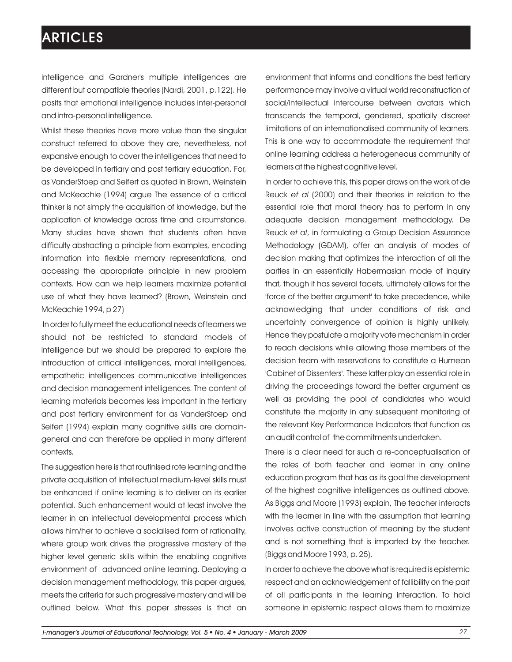intelligence and Gardner's multiple intelligences are different but compatible theories (Nardi, 2001, p.122). He posits that emotional intelligence includes inter-personal and intra-personal intelligence.

Whilst these theories have more value than the singular construct referred to above they are, nevertheless, not expansive enough to cover the intelligences that need to be developed in tertiary and post tertiary education. For, as VanderStoep and Seifert as quoted in Brown, Weinstein and McKeachie (1994) argue The essence of a critical thinker is not simply the acquisition of knowledge, but the application of knowledge across time and circumstance. Many studies have shown that students often have difficulty abstracting a principle from examples, encoding information into flexible memory representations, and accessing the appropriate principle in new problem contexts. How can we help learners maximize potential use of what they have learned? (Brown, Weinstein and McKeachie 1994, p 27)

In order to fully meet the educational needs of learners we should not be restricted to standard models of intelligence but we should be prepared to explore the introduction of critical intelligences, moral intelligences, empathetic intelligences communicative intelligences and decision management intelligences. The content of learning materials becomes less important in the tertiary and post tertiary environment for as VanderStoep and Seifert (1994) explain many cognitive skills are domaingeneral and can therefore be applied in many different contexts.

The suggestion here is that routinised rote learning and the private acquisition of intellectual medium-level skills must be enhanced if online learning is to deliver on its earlier potential. Such enhancement would at least involve the learner in an intellectual developmental process which allows him/her to achieve a socialised form of rationality, where group work drives the progressive mastery of the higher level generic skills within the enabling cognitive environment of advanced online learning. Deploying a decision management methodology, this paper argues, meets the criteria for such progressive mastery and will be outlined below. What this paper stresses is that an

environment that informs and conditions the best tertiary performance may involve a virtual world reconstruction of social/intellectual intercourse between avatars which transcends the temporal, gendered, spatially discreet limitations of an internationalised community of learners. This is one way to accommodate the requirement that online learning address a heterogeneous community of learners at the highest cognitive level.

In order to achieve this, this paper draws on the work of de Reuck *et al* (2000) and their theories in relation to the essential role that moral theory has to perform in any adequate decision management methodology. De Reuck *et al*, in formulating a Group Decision Assurance Methodology (GDAM), offer an analysis of modes of decision making that optimizes the interaction of all the parties in an essentially Habermasian mode of inquiry that, though it has several facets, ultimately allows for the 'force of the better argument' to take precedence, while acknowledging that under conditions of risk and uncertainty convergence of opinion is highly unlikely. Hence they postulate a majority vote mechanism in order to reach decisions while allowing those members of the decision team with reservations to constitute a Humean 'Cabinet of Dissenters'. These latter play an essential role in driving the proceedings toward the better argument as well as providing the pool of candidates who would constitute the majority in any subsequent monitoring of the relevant Key Performance Indicators that function as an audit control of the commitments undertaken.

There is a clear need for such a re-conceptualisation of the roles of both teacher and learner in any online education program that has as its goal the development of the highest cognitive intelligences as outlined above. As Biggs and Moore (1993) explain, The teacher interacts with the learner in line with the assumption that learning involves active construction of meaning by the student and is not something that is imparted by the teacher. (Biggs and Moore 1993, p. 25).

In order to achieve the above what is required is epistemic respect and an acknowledgement of fallibility on the part of all participants in the learning interaction. To hold someone in epistemic respect allows them to maximize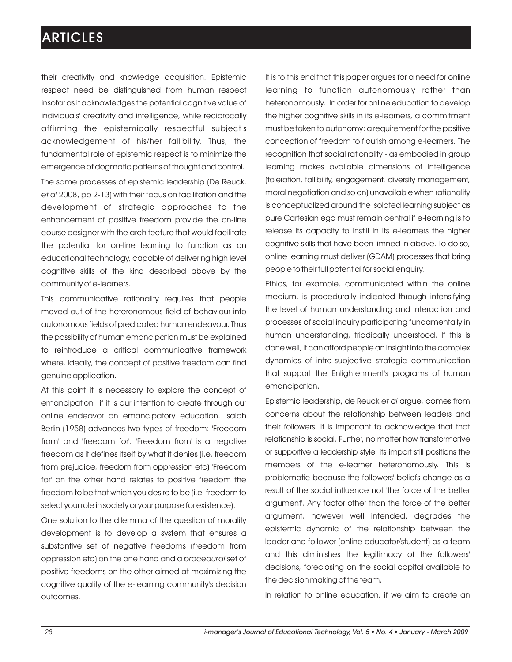their creativity and knowledge acquisition. Epistemic respect need be distinguished from human respect insofar as it acknowledges the potential cognitive value of individuals' creativity and intelligence, while reciprocally affirming the epistemically respectful subject's acknowledgement of his/her fallibility. Thus, the fundamental role of epistemic respect is to minimize the emergence of dogmatic patterns of thought and control. The same processes of epistemic leadership (De Reuck, *et al* 2008, pp 2-13) with their focus on facilitation and the development of strategic approaches to the enhancement of positive freedom provide the on-line course designer with the architecture that would facilitate the potential for on-line learning to function as an educational technology, capable of delivering high level cognitive skills of the kind described above by the community of e-learners.

This communicative rationality requires that people moved out of the heteronomous field of behaviour into autonomous fields of predicated human endeavour. Thus the possibility of human emancipation must be explained to reintroduce a critical communicative framework where, ideally, the concept of positive freedom can find genuine application.

At this point it is necessary to explore the concept of emancipation if it is our intention to create through our online endeavor an emancipatory education. Isaiah Berlin (1958) advances two types of freedom: 'Freedom from' and 'freedom for'. 'Freedom from' is a negative freedom as it defines itself by what it denies (i.e. freedom from prejudice, freedom from oppression etc) 'Freedom for' on the other hand relates to positive freedom the freedom to be that which you desire to be (i.e. freedom to select your role in society or your purpose for existence).

One solution to the dilemma of the question of morality development is to develop a system that ensures a substantive set of negative freedoms (freedom from oppression etc) on the one hand and a *procedural* set of positive freedoms on the other aimed at maximizing the cognitive quality of the e-learning community's decision outcomes.

It is to this end that this paper argues for a need for online learning to function autonomously rather than heteronomously. In order for online education to develop the higher cognitive skills in its e-learners, a commitment must be taken to autonomy: a requirement for the positive conception of freedom to flourish among e-learners. The recognition that social rationality - as embodied in group learning makes available dimensions of intelligence (toleration, fallibility, engagement, diversity management, moral negotiation and so on) unavailable when rationality is conceptualized around the isolated learning subject as pure Cartesian ego must remain central if e-learning is to release its capacity to instill in its e-learners the higher cognitive skills that have been limned in above. To do so, online learning must deliver (GDAM) processes that bring people to their full potential for social enquiry.

Ethics, for example, communicated within the online medium, is procedurally indicated through intensifying the level of human understanding and interaction and processes of social inquiry participating fundamentally in human understanding, triadically understood. If this is done well, it can afford people an insight into the complex dynamics of intra-subjective strategic communication that support the Enlightenment's programs of human emancipation.

Epistemic leadership, de Reuck *et al* argue, comes from concerns about the relationship between leaders and their followers. It is important to acknowledge that that relationship is social. Further, no matter how transformative or supportive a leadership style, its import still positions the members of the e-learner heteronomously. This is problematic because the followers' beliefs change as a result of the social influence not 'the force of the better argument'. Any factor other than the force of the better argument, however well intended, degrades the epistemic dynamic of the relationship between the leader and follower (online educator/student) as a team and this diminishes the legitimacy of the followers' decisions, foreclosing on the social capital available to the decision making of the team.

In relation to online education, if we aim to create an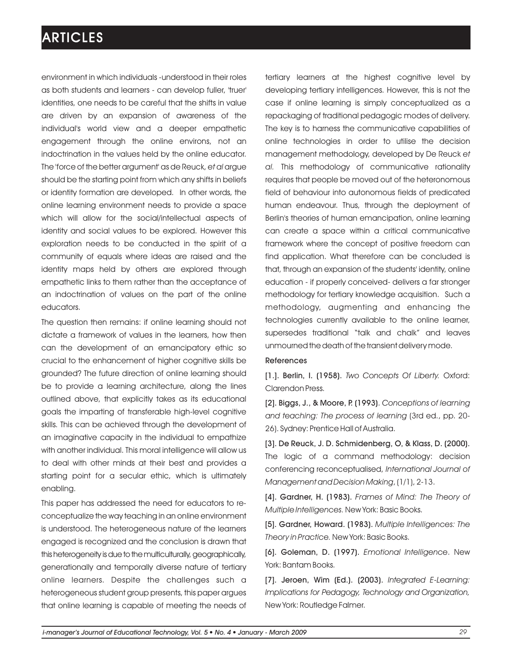environment in which individuals -understood in their roles as both students and learners - can develop fuller, 'truer' identities, one needs to be careful that the shifts in value are driven by an expansion of awareness of the individual's world view and a deeper empathetic engagement through the online environs, not an indoctrination in the values held by the online educator. The 'force of the better argument' as de Reuck, *et al* argue should be the starting point from which any shifts in beliefs or identity formation are developed. In other words, the online learning environment needs to provide a space which will allow for the social/intellectual aspects of identity and social values to be explored. However this exploration needs to be conducted in the spirit of a community of equals where ideas are raised and the identity maps held by others are explored through empathetic links to them rather than the acceptance of an indoctrination of values on the part of the online educators.

The question then remains: if online learning should not dictate a framework of values in the learners, how then can the development of an emancipatory ethic so crucial to the enhancement of higher cognitive skills be grounded? The future direction of online learning should be to provide a learning architecture, along the lines outlined above, that explicitly takes as its educational goals the imparting of transferable high-level cognitive skills. This can be achieved through the development of an imaginative capacity in the individual to empathize with another individual. This moral intelligence will allow us to deal with other minds at their best and provides a starting point for a secular ethic, which is ultimately enabling.

This paper has addressed the need for educators to reconceptualize the way teaching in an online environment is understood. The heterogeneous nature of the learners engaged is recognized and the conclusion is drawn that this heterogeneity is due to the multiculturally, geographically, generationally and temporally diverse nature of tertiary online learners. Despite the challenges such a heterogeneous student group presents, this paper argues that online learning is capable of meeting the needs of tertiary learners at the highest cognitive level by developing tertiary intelligences. However, this is not the case if online learning is simply conceptualized as a repackaging of traditional pedagogic modes of delivery. The key is to harness the communicative capabilities of online technologies in order to utilise the decision management methodology, developed by De Reuck *et al.* This methodology of communicative rationality requires that people be moved out of the heteronomous field of behaviour into autonomous fields of predicated human endeavour. Thus, through the deployment of Berlin's theories of human emancipation, online learning can create a space within a critical communicative framework where the concept of positive freedom can find application. What therefore can be concluded is that, through an expansion of the students' identity, online education - if properly conceived- delivers a far stronger methodology for tertiary knowledge acquisition. Such a methodology, augmenting and enhancing the technologies currently available to the online learner, supersedes traditional "talk and chalk" and leaves unmourned the death of the transient delivery mode.

#### References

[1.]. Berlin, I. (1958). *Two Concepts Of Liberty.* Oxford: Clarendon Press.

[2]. Biggs, J., & Moore, P. (1993). *Conceptions of learning and teaching: The process of learning* (3rd ed., pp. 20- 26). Sydney: Prentice Hall of Australia.

[3]. De Reuck, J. D. Schmidenberg, O, & Klass, D. (2000). The logic of a command methodology: decision conferencing reconceptualised, *International Journal of Management and Decision Making*, (1/1), 2-13.

[4]. Gardner, H. (1983). *Frames of Mind: The Theory of Multiple Intelligences.* New York: Basic Books.

[5]. Gardner, Howard. (1983). *Multiple Intelligences: The Theory in Practice.* New York: Basic Books.

[6]. Goleman, D. (1997). *Emotional Intelligence*. New York: Bantam Books.

[7]. Jeroen, Wim (Ed.). (2003). *Integrated E-Learning: Implications for Pedagogy, Technology and Organization,*  New York: Routledge Falmer.